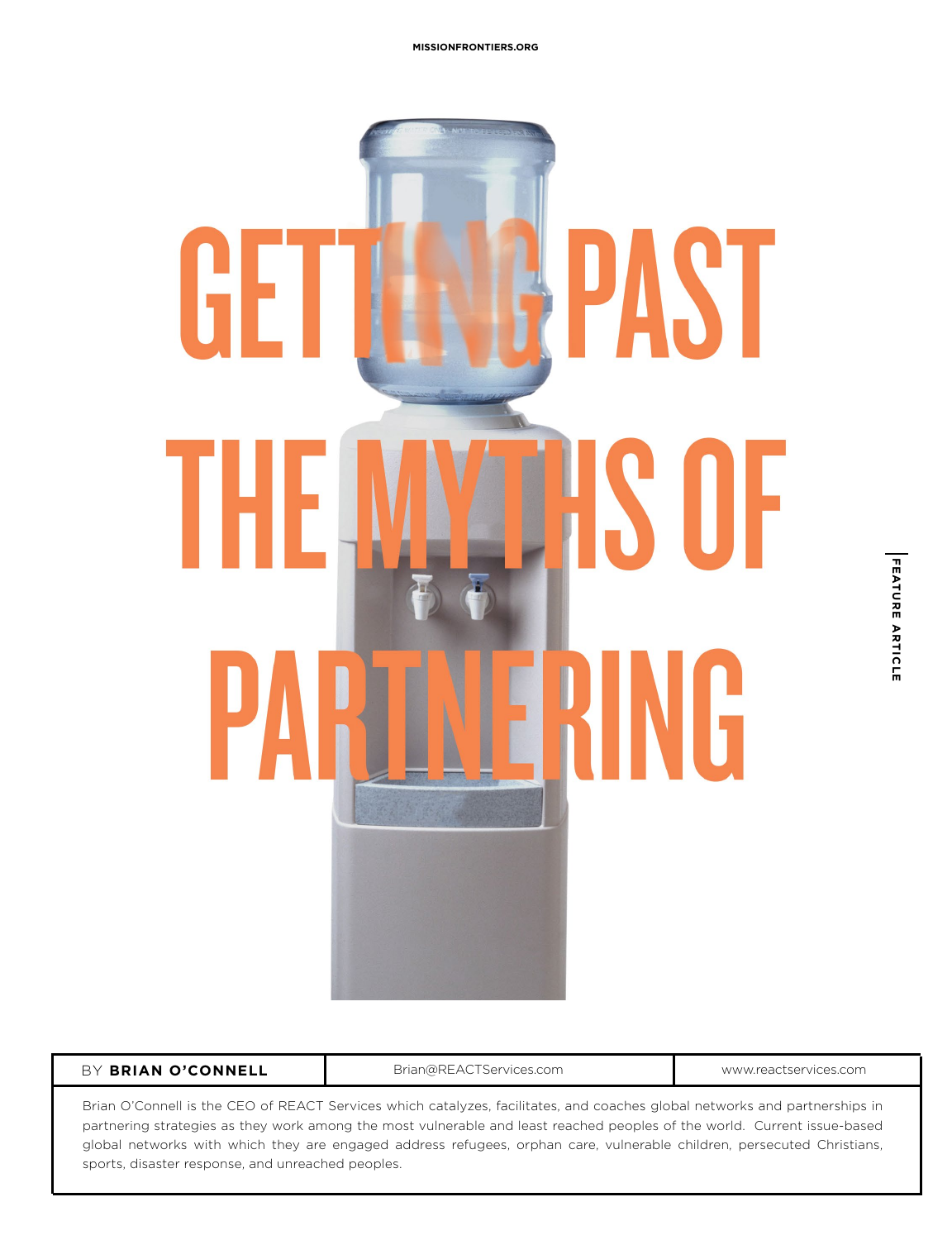

#### BY BRIAN O'CONNELL **BRIAN BY BRIAN CONNELL** Brian@REACTServices.com **by BRIAN O'CONNELL**

Brian O'Connell is the CEO of REACT Services which catalyzes, facilitates, and coaches global networks and partnerships in partnering strategies as they work among the most vulnerable and least reached peoples of the world. Current issue-based global networks with which they are engaged address refugees, orphan care, vulnerable children, persecuted Christians, sports, disaster response, and unreached peoples.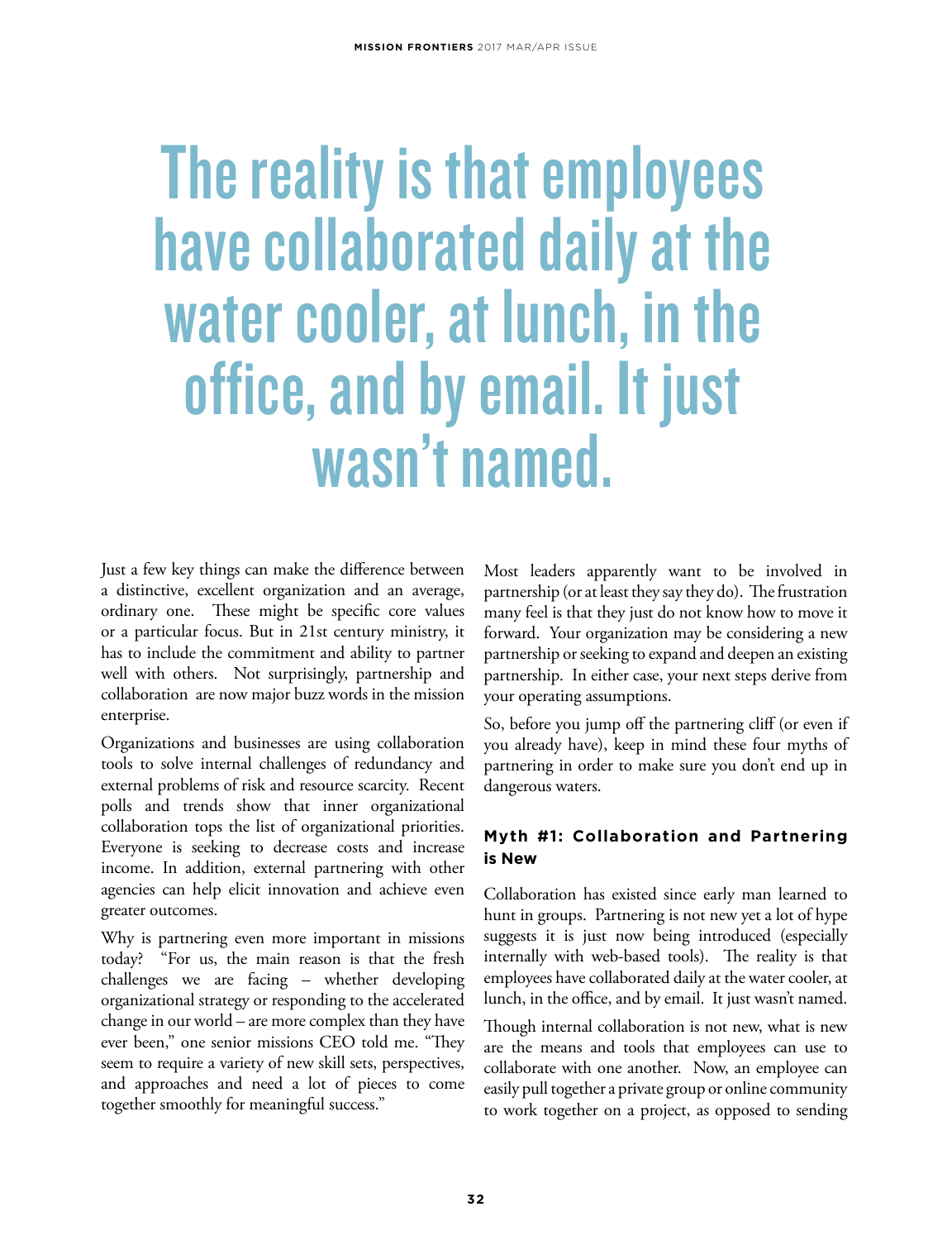# The reality is that employees have collaborated daily at the water cooler, at lunch, in the office, and by email. It just wasn't named.

Just a few key things can make the difference between a distinctive, excellent organization and an average, ordinary one. These might be specific core values or a particular focus. But in 21st century ministry, it has to include the commitment and ability to partner well with others. Not surprisingly, partnership and collaboration are now major buzz words in the mission enterprise.

Organizations and businesses are using collaboration tools to solve internal challenges of redundancy and external problems of risk and resource scarcity. Recent polls and trends show that inner organizational collaboration tops the list of organizational priorities. Everyone is seeking to decrease costs and increase income. In addition, external partnering with other agencies can help elicit innovation and achieve even greater outcomes.

Why is partnering even more important in missions today? "For us, the main reason is that the fresh challenges we are facing – whether developing organizational strategy or responding to the accelerated change in our world – are more complex than they have ever been," one senior missions CEO told me. "They seem to require a variety of new skill sets, perspectives, and approaches and need a lot of pieces to come together smoothly for meaningful success."

Most leaders apparently want to be involved in partnership (or at least they say they do). The frustration many feel is that they just do not know how to move it forward. Your organization may be considering a new partnership or seeking to expand and deepen an existing partnership. In either case, your next steps derive from your operating assumptions.

So, before you jump off the partnering cliff (or even if you already have), keep in mind these four myths of partnering in order to make sure you don't end up in dangerous waters.

## **Myth #1: Collaboration and Partnering is New**

Collaboration has existed since early man learned to hunt in groups. Partnering is not new yet a lot of hype suggests it is just now being introduced (especially internally with web-based tools). The reality is that employees have collaborated daily at the water cooler, at lunch, in the office, and by email. It just wasn't named.

Though internal collaboration is not new, what is new are the means and tools that employees can use to collaborate with one another. Now, an employee can easily pull together a private group or online community to work together on a project, as opposed to sending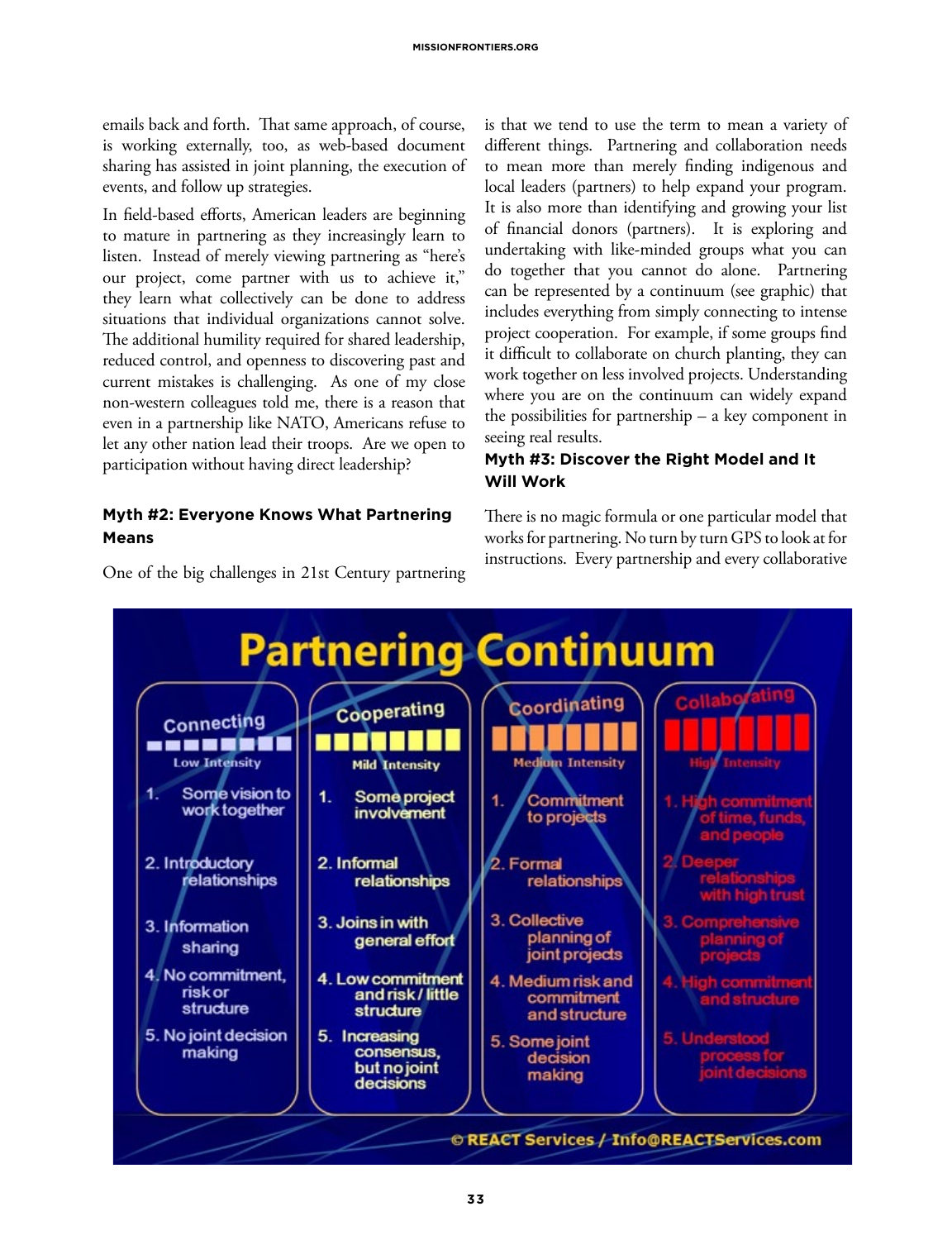emails back and forth. That same approach, of course, is working externally, too, as web-based document sharing has assisted in joint planning, the execution of events, and follow up strategies.

In field-based efforts, American leaders are beginning to mature in partnering as they increasingly learn to listen. Instead of merely viewing partnering as "here's our project, come partner with us to achieve it," they learn what collectively can be done to address situations that individual organizations cannot solve. The additional humility required for shared leadership, reduced control, and openness to discovering past and current mistakes is challenging. As one of my close non-western colleagues told me, there is a reason that even in a partnership like NATO, Americans refuse to let any other nation lead their troops. Are we open to participation without having direct leadership?

#### **Myth #2: Everyone Knows What Partnering Means**

One of the big challenges in 21st Century partnering

is that we tend to use the term to mean a variety of different things. Partnering and collaboration needs to mean more than merely finding indigenous and local leaders (partners) to help expand your program. It is also more than identifying and growing your list of financial donors (partners). It is exploring and undertaking with like-minded groups what you can do together that you cannot do alone. Partnering can be represented by a continuum (see graphic) that includes everything from simply connecting to intense project cooperation. For example, if some groups find it difficult to collaborate on church planting, they can work together on less involved projects. Understanding where you are on the continuum can widely expand the possibilities for partnership – a key component in seeing real results.

### **Myth #3: Discover the Right Model and It Will Work**

There is no magic formula or one particular model that works for partnering. No turn by turn GPS to look at for instructions. Every partnership and every collaborative